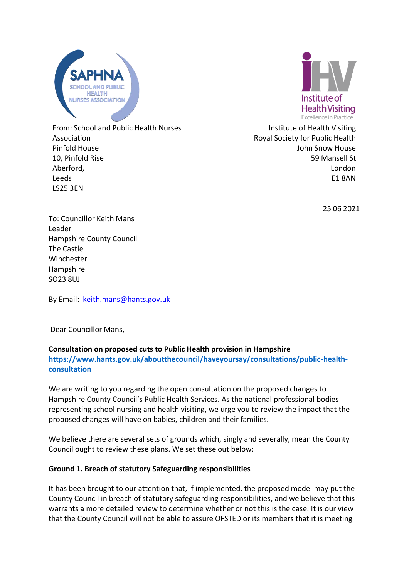



From: School and Public Health Nurses Association Pinfold House 10, Pinfold Rise Aberford, Leeds LS25 3EN

Institute of Health Visiting Royal Society for Public Health John Snow House 59 Mansell St London E1 8AN

25 06 2021

To: Councillor Keith Mans Leader Hampshire County Council The Castle Winchester Hampshire SO23 8UJ

By Email: [keith.mans@hants.gov.uk](mailto:keith.mans@hants.gov.uk)

Dear Councillor Mans,

### **Consultation on proposed cuts to Public Health provision in Hampshire**

**[https://www.hants.gov.uk/aboutthecouncil/haveyoursay/consultations/public-health](https://www.hants.gov.uk/aboutthecouncil/haveyoursay/consultations/public-health-consultation)[consultation](https://www.hants.gov.uk/aboutthecouncil/haveyoursay/consultations/public-health-consultation)**

We are writing to you regarding the open consultation on the proposed changes to Hampshire County Council's Public Health Services. As the national professional bodies representing school nursing and health visiting, we urge you to review the impact that the proposed changes will have on babies, children and their families.

We believe there are several sets of grounds which, singly and severally, mean the County Council ought to review these plans. We set these out below:

# **Ground 1. Breach of statutory Safeguarding responsibilities**

It has been brought to our attention that, if implemented, the proposed model may put the County Council in breach of statutory safeguarding responsibilities, and we believe that this warrants a more detailed review to determine whether or not this is the case. It is our view that the County Council will not be able to assure OFSTED or its members that it is meeting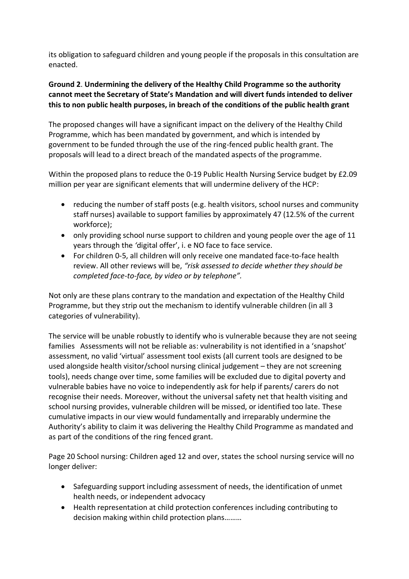its obligation to safeguard children and young people if the proposals in this consultation are enacted.

## **Ground 2**. **Undermining the delivery of the Healthy Child Programme so the authority cannot meet the Secretary of State's Mandation and will divert funds intended to deliver this to non public health purposes, in breach of the conditions of the public health grant**

The proposed changes will have a significant impact on the delivery of the Healthy Child Programme, which has been mandated by government, and which is intended by government to be funded through the use of the ring-fenced public health grant. The proposals will lead to a direct breach of the mandated aspects of the programme.

Within the proposed plans to reduce the 0-19 Public Health Nursing Service budget by £2.09 million per year are significant elements that will undermine delivery of the HCP:

- reducing the number of staff posts (e.g. health visitors, school nurses and community staff nurses) available to support families by approximately 47 (12.5% of the current workforce);
- only providing school nurse support to children and young people over the age of 11 years through the *'*digital offer', i. e NO face to face service.
- For children 0-5, all children will only receive one mandated face-to-face health review. All other reviews will be, *"risk assessed to decide whether they should be completed face-to-face, by video or by telephone".*

Not only are these plans contrary to the mandation and expectation of the Healthy Child Programme, but they strip out the mechanism to identify vulnerable children (in all 3 categories of vulnerability).

The service will be unable robustly to identify who is vulnerable because they are not seeing families Assessments will not be reliable as: vulnerability is not identified in a 'snapshot' assessment, no valid 'virtual' assessment tool exists (all current tools are designed to be used alongside health visitor/school nursing clinical judgement – they are not screening tools), needs change over time, some families will be excluded due to digital poverty and vulnerable babies have no voice to independently ask for help if parents/ carers do not recognise their needs. Moreover, without the universal safety net that health visiting and school nursing provides, vulnerable children will be missed, or identified too late. These cumulative impacts in our view would fundamentally and irreparably undermine the Authority's ability to claim it was delivering the Healthy Child Programme as mandated and as part of the conditions of the ring fenced grant.

Page 20 School nursing: Children aged 12 and over, states the school nursing service will no longer deliver:

- Safeguarding support including assessment of needs, the identification of unmet health needs, or independent advocacy
- Health representation at child protection conferences including contributing to decision making within child protection plans………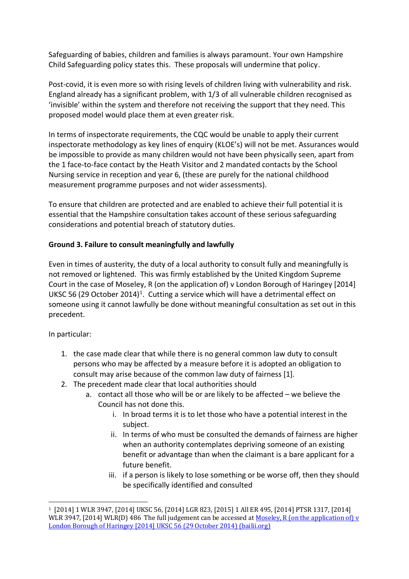Safeguarding of babies, children and families is always paramount. Your own Hampshire Child Safeguarding policy states this. These proposals will undermine that policy.

Post-covid, it is even more so with rising levels of children living with vulnerability and risk. England already has a significant problem, with 1/3 of all vulnerable children recognised as 'invisible' within the system and therefore not receiving the support that they need. This proposed model would place them at even greater risk.

In terms of inspectorate requirements, the CQC would be unable to apply their current inspectorate methodology as key lines of enquiry (KLOE's) will not be met. Assurances would be impossible to provide as many children would not have been physically seen, apart from the 1 face-to-face contact by the Heath Visitor and 2 mandated contacts by the School Nursing service in reception and year 6, (these are purely for the national childhood measurement programme purposes and not wider assessments).

To ensure that children are protected and are enabled to achieve their full potential it is essential that the Hampshire consultation takes account of these serious safeguarding considerations and potential breach of statutory duties.

## **Ground 3. Failure to consult meaningfully and lawfully**

Even in times of austerity, the duty of a local authority to consult fully and meaningfully is not removed or lightened. This was firmly established by the United Kingdom Supreme Court in the case of Moseley, R (on the application of) v London Borough of Haringey [2014] UKSC 56 (29 October 2014)<sup>1</sup>. Cutting a service which will have a detrimental effect on someone using it cannot lawfully be done without meaningful consultation as set out in this precedent.

In particular:

- 1. the case made clear that while there is no general common law duty to consult persons who may be affected by a measure before it is adopted an obligation to consult may arise because of the common law duty of fairness [1].
- 2. The precedent made clear that local authorities should
	- a. contact all those who will be or are likely to be affected we believe the Council has not done this.
		- i. In broad terms it is to let those who have a potential interest in the subject.
		- ii. In terms of who must be consulted the demands of fairness are higher when an authority contemplates depriving someone of an existing benefit or advantage than when the claimant is a bare applicant for a future benefit.
		- iii. if a person is likely to lose something or be worse off, then they should be specifically identified and consulted

<sup>1</sup> [2014] 1 WLR 3947, [2014] UKSC 56, [2014] LGR 823, [2015] 1 All ER 495, [2014] PTSR 1317, [2014] WLR 3947, [2014] WLR(D) 486 The full judgement can be accessed at Moseley, R (on the application of) v [London Borough of Haringey \[2014\] UKSC 56 \(29 October 2014\) \(bailii.org\)](http://www.bailii.org/uk/cases/UKSC/2014/56.html)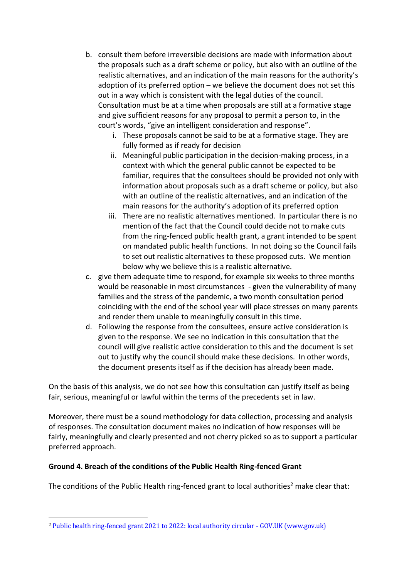- b. consult them before irreversible decisions are made with information about the proposals such as a draft scheme or policy, but also with an outline of the realistic alternatives, and an indication of the main reasons for the authority's adoption of its preferred option – we believe the document does not set this out in a way which is consistent with the legal duties of the council. Consultation must be at a time when proposals are still at a formative stage and give sufficient reasons for any proposal to permit a person to, in the court's words, "give an intelligent consideration and response".
	- i. These proposals cannot be said to be at a formative stage. They are fully formed as if ready for decision
	- ii. Meaningful public participation in the decision-making process, in a context with which the general public cannot be expected to be familiar, requires that the consultees should be provided not only with information about proposals such as a draft scheme or policy, but also with an outline of the realistic alternatives, and an indication of the main reasons for the authority's adoption of its preferred option
	- iii. There are no realistic alternatives mentioned. In particular there is no mention of the fact that the Council could decide not to make cuts from the ring-fenced public health grant, a grant intended to be spent on mandated public health functions. In not doing so the Council fails to set out realistic alternatives to these proposed cuts. We mention below why we believe this is a realistic alternative.
- c. give them adequate time to respond, for example six weeks to three months would be reasonable in most circumstances - given the vulnerability of many families and the stress of the pandemic, a two month consultation period coinciding with the end of the school year will place stresses on many parents and render them unable to meaningfully consult in this time.
- d. Following the response from the consultees, ensure active consideration is given to the response. We see no indication in this consultation that the council will give realistic active consideration to this and the document is set out to justify why the council should make these decisions. In other words, the document presents itself as if the decision has already been made.

On the basis of this analysis, we do not see how this consultation can justify itself as being fair, serious, meaningful or lawful within the terms of the precedents set in law.

Moreover, there must be a sound methodology for data collection, processing and analysis of responses. The consultation document makes no indication of how responses will be fairly, meaningfully and clearly presented and not cherry picked so as to support a particular preferred approach.

### **Ground 4. Breach of the conditions of the Public Health Ring-fenced Grant**

The conditions of the Public Health ring-fenced grant to local authorities<sup>2</sup> make clear that:

<sup>&</sup>lt;sup>2</sup> [Public health ring-fenced grant 2021 to 2022: local authority circular -](https://www.gov.uk/government/publications/public-health-grants-to-local-authorities-2021-to-2022/public-health-ring-fenced-grant-2021-to-2022-local-authority-circular#annexa) GOV.UK (www.gov.uk)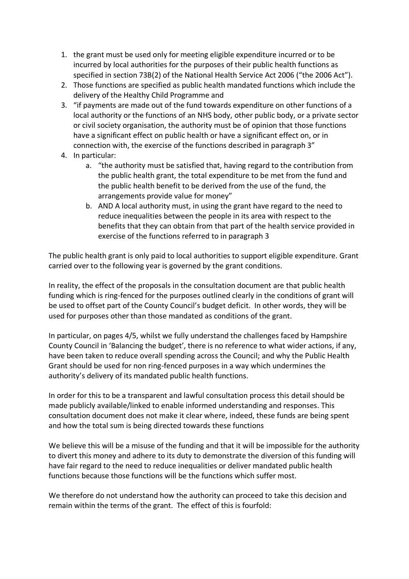- 1. the grant must be used only for meeting eligible expenditure incurred or to be incurred by local authorities for the purposes of their public health functions as specified in section 73B(2) of the National Health Service Act 2006 ("the 2006 Act").
- 2. Those functions are specified as public health mandated functions which include the delivery of the Healthy Child Programme and
- 3. "if payments are made out of the fund towards expenditure on other functions of a local authority or the functions of an NHS body, other public body, or a private sector or civil society organisation, the authority must be of opinion that those functions have a significant effect on public health or have a significant effect on, or in connection with, the exercise of the functions described in paragraph 3"
- 4. In particular:
	- a. "the authority must be satisfied that, having regard to the contribution from the public health grant, the total expenditure to be met from the fund and the public health benefit to be derived from the use of the fund, the arrangements provide value for money"
	- b. AND A local authority must, in using the grant have regard to the need to reduce inequalities between the people in its area with respect to the benefits that they can obtain from that part of the health service provided in exercise of the functions referred to in paragraph 3

The public health grant is only paid to local authorities to support eligible expenditure. Grant carried over to the following year is governed by the grant conditions.

In reality, the effect of the proposals in the consultation document are that public health funding which is ring-fenced for the purposes outlined clearly in the conditions of grant will be used to offset part of the County Council's budget deficit. In other words, they will be used for purposes other than those mandated as conditions of the grant.

In particular, on pages 4/5, whilst we fully understand the challenges faced by Hampshire County Council in 'Balancing the budget', there is no reference to what wider actions, if any, have been taken to reduce overall spending across the Council; and why the Public Health Grant should be used for non ring-fenced purposes in a way which undermines the authority's delivery of its mandated public health functions.

In order for this to be a transparent and lawful consultation process this detail should be made publicly available/linked to enable informed understanding and responses. This consultation document does not make it clear where, indeed, these funds are being spent and how the total sum is being directed towards these functions

We believe this will be a misuse of the funding and that it will be impossible for the authority to divert this money and adhere to its duty to demonstrate the diversion of this funding will have fair regard to the need to reduce inequalities or deliver mandated public health functions because those functions will be the functions which suffer most.

We therefore do not understand how the authority can proceed to take this decision and remain within the terms of the grant. The effect of this is fourfold: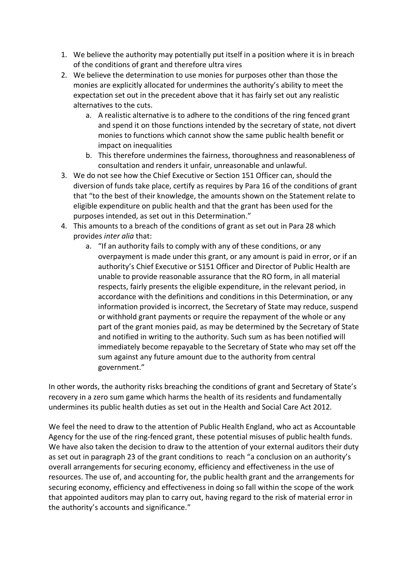- 1. We believe the authority may potentially put itself in a position where it is in breach of the conditions of grant and therefore ultra vires
- 2. We believe the determination to use monies for purposes other than those the monies are explicitly allocated for undermines the authority's ability to meet the expectation set out in the precedent above that it has fairly set out any realistic alternatives to the cuts.
	- a. A realistic alternative is to adhere to the conditions of the ring fenced grant and spend it on those functions intended by the secretary of state, not divert monies to functions which cannot show the same public health benefit or impact on inequalities
	- b. This therefore undermines the fairness, thoroughness and reasonableness of consultation and renders it unfair, unreasonable and unlawful.
- 3. We do not see how the Chief Executive or Section 151 Officer can, should the diversion of funds take place, certify as requires by Para 16 of the conditions of grant that "to the best of their knowledge, the amounts shown on the Statement relate to eligible expenditure on public health and that the grant has been used for the purposes intended, as set out in this Determination."
- 4. This amounts to a breach of the conditions of grant as set out in Para 28 which provides *inter alia* that:
	- a. "If an authority fails to comply with any of these conditions, or any overpayment is made under this grant, or any amount is paid in error, or if an authority's Chief Executive or S151 Officer and Director of Public Health are unable to provide reasonable assurance that the RO form, in all material respects, fairly presents the eligible expenditure, in the relevant period, in accordance with the definitions and conditions in this Determination, or any information provided is incorrect, the Secretary of State may reduce, suspend or withhold grant payments or require the repayment of the whole or any part of the grant monies paid, as may be determined by the Secretary of State and notified in writing to the authority. Such sum as has been notified will immediately become repayable to the Secretary of State who may set off the sum against any future amount due to the authority from central government."

In other words, the authority risks breaching the conditions of grant and Secretary of State's recovery in a zero sum game which harms the health of its residents and fundamentally undermines its public health duties as set out in the Health and Social Care Act 2012.

We feel the need to draw to the attention of Public Health England, who act as Accountable Agency for the use of the ring-fenced grant, these potential misuses of public health funds. We have also taken the decision to draw to the attention of your external auditors their duty as set out in paragraph 23 of the grant conditions to reach "a conclusion on an authority's overall arrangements for securing economy, efficiency and effectiveness in the use of resources. The use of, and accounting for, the public health grant and the arrangements for securing economy, efficiency and effectiveness in doing so fall within the scope of the work that appointed auditors may plan to carry out, having regard to the risk of material error in the authority's accounts and significance."